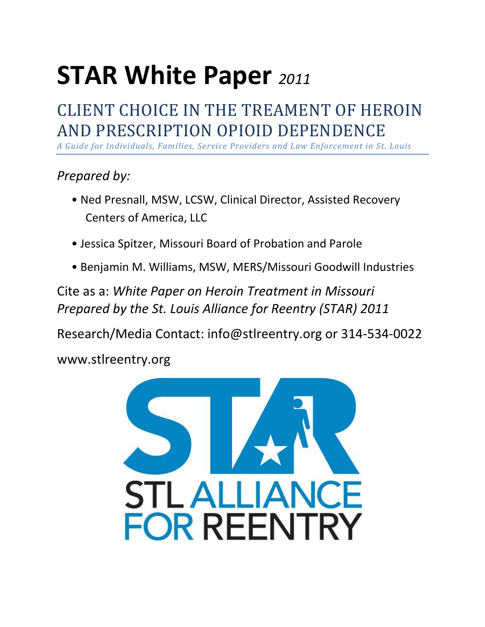# **STAR White Paper** *<sup>2011</sup>*

# CLIENT CHOICE IN THE TREAMENT OF HEROIN AND PRESCRIPTION OPIOID DEPENDENCE

*A Guide for Individuals, Families, Service Providers and Law Enforcement in St. Louis*

## *Prepared by:*

- Ned Presnall, MSW, LCSW, Clinical Director, Assisted Recovery Centers of America, LLC
- Jessica Spitzer, Missouri Board of Probation and Parole
- Benjamin M. Williams, MSW, MERS/Missouri Goodwill Industries

Cite as a: *White Paper on Heroin Treatment in Missouri Prepared by the St. Louis Alliance for Reentry (STAR) 2011* 

Research/Media Contact: info@stlreentry.org or 314-534-0022

www.stlreentry.org

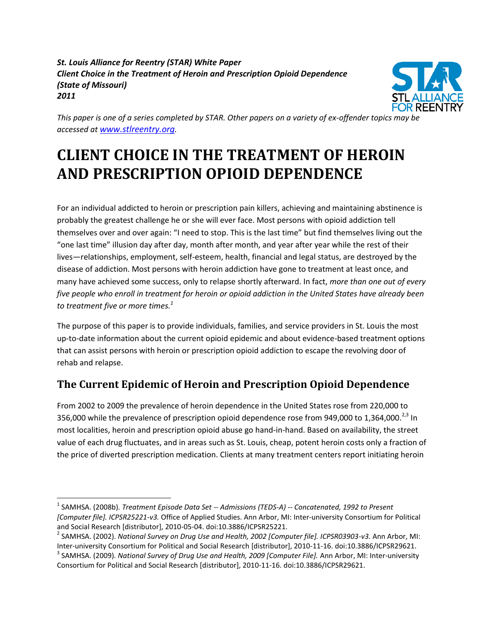#### *St. Louis Alliance for Reentry (STAR) White Paper Client Choice in the Treatment of Heroin and Prescription Opioid Dependence (State of Missouri) 2011*



*This paper is one of a series completed by STAR. Other papers on a variety of ex-offender topics may be accessed at [www.stlreentry.org](http://www.stlreentry.org/).* 

# **CLIENT CHOICE IN THE TREATMENT OF HEROIN AND PRESCRIPTION OPIOID DEPENDENCE**

For an individual addicted to heroin or prescription pain killers, achieving and maintaining abstinence is probably the greatest challenge he or she will ever face. Most persons with opioid addiction tell themselves over and over again: "I need to stop. This is the last time" but find themselves living out the "one last time" illusion day after day, month after month, and year after year while the rest of their lives—relationships, employment, self-esteem, health, financial and legal status, are destroyed by the disease of addiction. Most persons with heroin addiction have gone to treatment at least once, and many have achieved some success, only to relapse shortly afterward. In fact, *more than one out of every five people who enroll in treatment for heroin or opioid addiction in the United States have already been to treatment five or more times. 1*

The purpose of this paper is to provide individuals, families, and service providers in St. Louis the most up-to-date information about the current opioid epidemic and about evidence-based treatment options that can assist persons with heroin or prescription opioid addiction to escape the revolving door of rehab and relapse.

### **The Current Epidemic of Heroin and Prescription Opioid Dependence**

From 2002 to 2009 the prevalence of heroin dependence in the United States rose from 220,000 to 356,000 while the prevalence of prescription opioid dependence rose from 949,000 to 1,364,000.<sup>2,3</sup> In most localities, heroin and prescription opioid abuse go hand-in-hand. Based on availability, the street value of each drug fluctuates, and in areas such as St. Louis, cheap, potent heroin costs only a fraction of the price of diverted prescription medication. Clients at many treatment centers report initiating heroin

 $\overline{\phantom{a}}$ 

<sup>1</sup> SAMHSA. (2008b). *Treatment Episode Data Set -- Admissions (TEDS-A) -- Concatenated, 1992 to Present [Computer file]. ICPSR25221-v3.* Office of Applied Studies. Ann Arbor, MI: Inter-university Consortium for Political and Social Research [distributor], 2010-05-04. doi:10.3886/ICPSR25221.

<sup>2</sup> SAMHSA. (2002). *National Survey on Drug Use and Health, 2002 [Computer file]. ICPSR03903-v3.* Ann Arbor, MI: Inter-university Consortium for Political and Social Research [distributor], 2010-11-16. doi:10.3886/ICPSR29621.

<sup>3</sup> SAMHSA. (2009). *National Survey of Drug Use and Health, 2009 [Computer File].* Ann Arbor, MI: Inter-university Consortium for Political and Social Research [distributor], 2010-11-16. doi:10.3886/ICPSR29621.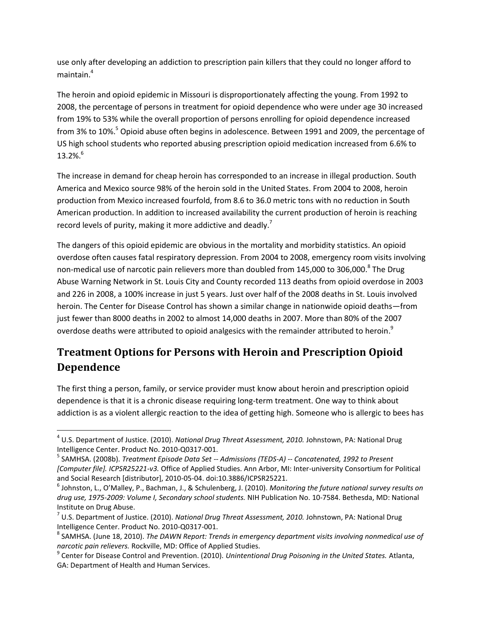use only after developing an addiction to prescription pain killers that they could no longer afford to maintain.<sup>4</sup>

The heroin and opioid epidemic in Missouri is disproportionately affecting the young. From 1992 to 2008, the percentage of persons in treatment for opioid dependence who were under age 30 increased from 19% to 53% while the overall proportion of persons enrolling for opioid dependence increased from 3% to 10%.<sup>5</sup> Opioid abuse often begins in adolescence. Between 1991 and 2009, the percentage of US high school students who reported abusing prescription opioid medication increased from 6.6% to  $13.2\%$ <sup>6</sup>

The increase in demand for cheap heroin has corresponded to an increase in illegal production. South America and Mexico source 98% of the heroin sold in the United States. From 2004 to 2008, heroin production from Mexico increased fourfold, from 8.6 to 36.0 metric tons with no reduction in South American production. In addition to increased availability the current production of heroin is reaching record levels of purity, making it more addictive and deadly.<sup>7</sup>

The dangers of this opioid epidemic are obvious in the mortality and morbidity statistics. An opioid overdose often causes fatal respiratory depression. From 2004 to 2008, emergency room visits involving non-medical use of narcotic pain relievers more than doubled from 145,000 to 306,000.<sup>8</sup> The Drug Abuse Warning Network in St. Louis City and County recorded 113 deaths from opioid overdose in 2003 and 226 in 2008, a 100% increase in just 5 years. Just over half of the 2008 deaths in St. Louis involved heroin. The Center for Disease Control has shown a similar change in nationwide opioid deaths—from just fewer than 8000 deaths in 2002 to almost 14,000 deaths in 2007. More than 80% of the 2007 overdose deaths were attributed to opioid analgesics with the remainder attributed to heroin. $^{9}$ 

## **Treatment Options for Persons with Heroin and Prescription Opioid Dependence**

The first thing a person, family, or service provider must know about heroin and prescription opioid dependence is that it is a chronic disease requiring long-term treatment. One way to think about addiction is as a violent allergic reaction to the idea of getting high. Someone who is allergic to bees has

 $\overline{\phantom{a}}$ 

<sup>4</sup> U.S. Department of Justice. (2010). *National Drug Threat Assessment, 2010.* Johnstown, PA: National Drug Intelligence Center. Product No. 2010-Q0317-001.

<sup>5</sup> SAMHSA. (2008b). *Treatment Episode Data Set -- Admissions (TEDS-A) -- Concatenated, 1992 to Present [Computer file]. ICPSR25221-v3.* Office of Applied Studies. Ann Arbor, MI: Inter-university Consortium for Political and Social Research [distributor], 2010-05-04. doi:10.3886/ICPSR25221.

<sup>6</sup> Johnston, L., O'Malley, P., Bachman, J., & Schulenberg, J. (2010). *Monitoring the future national survey results on drug use, 1975-2009: Volume I, Secondary school students.* NIH Publication No. 10-7584. Bethesda, MD: National Institute on Drug Abuse.

<sup>7</sup> U.S. Department of Justice. (2010). *National Drug Threat Assessment, 2010.* Johnstown, PA: National Drug Intelligence Center. Product No. 2010-Q0317-001.

<sup>&</sup>lt;sup>8</sup> SAMHSA. (June 18, 2010). *The DAWN Report: Trends in emergency department visits involving nonmedical use of narcotic pain relievers.* Rockville, MD: Office of Applied Studies.

<sup>9</sup> Center for Disease Control and Prevention. (2010). *Unintentional Drug Poisoning in the United States.* Atlanta, GA: Department of Health and Human Services.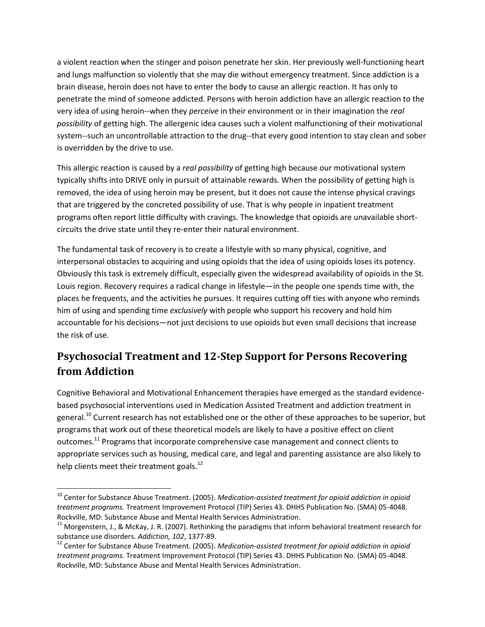a violent reaction when the stinger and poison penetrate her skin. Her previously well-functioning heart and lungs malfunction so violently that she may die without emergency treatment. Since addiction is a brain disease, heroin does not have to enter the body to cause an allergic reaction. It has only to penetrate the mind of someone addicted. Persons with heroin addiction have an allergic reaction to the very idea of using heroin--when they *perceive* in their environment or in their imagination the *real possibility* of getting high. The allergenic idea causes such a violent malfunctioning of their motivational system--such an uncontrollable attraction to the drug--that every good intention to stay clean and sober is overridden by the drive to use.

This allergic reaction is caused by a *real possibility* of getting high because our motivational system typically shifts into DRIVE only in pursuit of attainable rewards. When the possibility of getting high is removed, the idea of using heroin may be present, but it does not cause the intense physical cravings that are triggered by the concreted possibility of use. That is why people in inpatient treatment programs often report little difficulty with cravings. The knowledge that opioids are unavailable shortcircuits the drive state until they re-enter their natural environment.

The fundamental task of recovery is to create a lifestyle with so many physical, cognitive, and interpersonal obstacles to acquiring and using opioids that the idea of using opioids loses its potency. Obviously this task is extremely difficult, especially given the widespread availability of opioids in the St. Louis region. Recovery requires a radical change in lifestyle—in the people one spends time with, the places he frequents, and the activities he pursues. It requires cutting off ties with anyone who reminds him of using and spending time *exclusively* with people who support his recovery and hold him accountable for his decisions—not just decisions to use opioids but even small decisions that increase the risk of use.

#### **Psychosocial Treatment and 12-Step Support for Persons Recovering from Addiction**

Cognitive Behavioral and Motivational Enhancement therapies have emerged as the standard evidencebased psychosocial interventions used in Medication Assisted Treatment and addiction treatment in general.<sup>10</sup> Current research has not established one or the other of these approaches to be superior, but programs that work out of these theoretical models are likely to have a positive effect on client outcomes.<sup>11</sup> Programs that incorporate comprehensive case management and connect clients to appropriate services such as housing, medical care, and legal and parenting assistance are also likely to help clients meet their treatment goals.<sup>12</sup>

 $\overline{\phantom{a}}$ 

<sup>10</sup> Center for Substance Abuse Treatment. (2005). *Medication-assisted treatment for opioid addiction in opioid treatment programs.* Treatment Improvement Protocol (TIP) Series 43. DHHS Publication No. (SMA) 05-4048. Rockville, MD: Substance Abuse and Mental Health Services Administration.

<sup>&</sup>lt;sup>11</sup> Morgenstern, J., & McKay, J. R. (2007). Rethinking the paradigms that inform behavioral treatment research for substance use disorders. *Addiction, 102*, 1377-89.

<sup>12</sup> Center for Substance Abuse Treatment. (2005). *Medication-assisted treatment for opioid addiction in opioid treatment programs.* Treatment Improvement Protocol (TIP) Series 43. DHHS Publication No. (SMA) 05-4048. Rockville, MD: Substance Abuse and Mental Health Services Administration.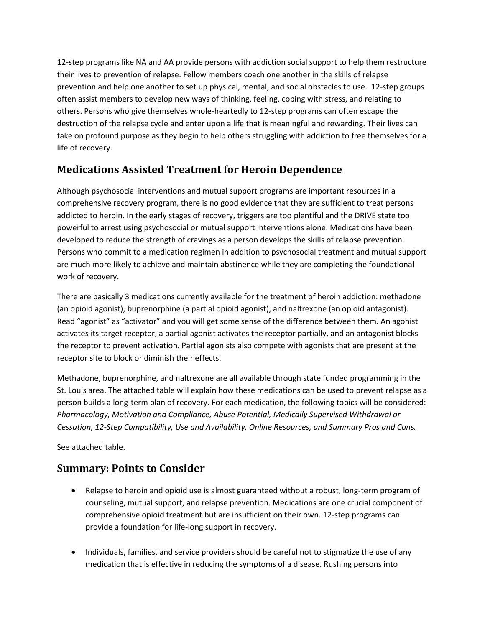12-step programs like NA and AA provide persons with addiction social support to help them restructure their lives to prevention of relapse. Fellow members coach one another in the skills of relapse prevention and help one another to set up physical, mental, and social obstacles to use. 12-step groups often assist members to develop new ways of thinking, feeling, coping with stress, and relating to others. Persons who give themselves whole-heartedly to 12-step programs can often escape the destruction of the relapse cycle and enter upon a life that is meaningful and rewarding. Their lives can take on profound purpose as they begin to help others struggling with addiction to free themselves for a life of recovery.

#### **Medications Assisted Treatment for Heroin Dependence**

Although psychosocial interventions and mutual support programs are important resources in a comprehensive recovery program, there is no good evidence that they are sufficient to treat persons addicted to heroin. In the early stages of recovery, triggers are too plentiful and the DRIVE state too powerful to arrest using psychosocial or mutual support interventions alone. Medications have been developed to reduce the strength of cravings as a person develops the skills of relapse prevention. Persons who commit to a medication regimen in addition to psychosocial treatment and mutual support are much more likely to achieve and maintain abstinence while they are completing the foundational work of recovery.

There are basically 3 medications currently available for the treatment of heroin addiction: methadone (an opioid agonist), buprenorphine (a partial opioid agonist), and naltrexone (an opioid antagonist). Read "agonist" as "activator" and you will get some sense of the difference between them. An agonist activates its target receptor, a partial agonist activates the receptor partially, and an antagonist blocks the receptor to prevent activation. Partial agonists also compete with agonists that are present at the receptor site to block or diminish their effects.

Methadone, buprenorphine, and naltrexone are all available through state funded programming in the St. Louis area. The attached table will explain how these medications can be used to prevent relapse as a person builds a long-term plan of recovery. For each medication, the following topics will be considered: *Pharmacology, Motivation and Compliance, Abuse Potential, Medically Supervised Withdrawal or Cessation, 12-Step Compatibility, Use and Availability, Online Resources, and Summary Pros and Cons.*

See attached table.

#### **Summary: Points to Consider**

- Relapse to heroin and opioid use is almost guaranteed without a robust, long-term program of counseling, mutual support, and relapse prevention. Medications are one crucial component of comprehensive opioid treatment but are insufficient on their own. 12-step programs can provide a foundation for life-long support in recovery.
- Individuals, families, and service providers should be careful not to stigmatize the use of any medication that is effective in reducing the symptoms of a disease. Rushing persons into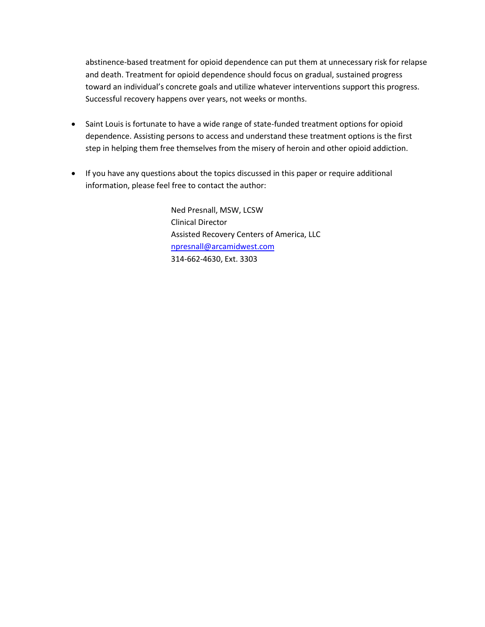abstinence-based treatment for opioid dependence can put them at unnecessary risk for relapse and death. Treatment for opioid dependence should focus on gradual, sustained progress toward an individual's concrete goals and utilize whatever interventions support this progress. Successful recovery happens over years, not weeks or months.

- Saint Louis is fortunate to have a wide range of state-funded treatment options for opioid dependence. Assisting persons to access and understand these treatment options is the first step in helping them free themselves from the misery of heroin and other opioid addiction.
- If you have any questions about the topics discussed in this paper or require additional information, please feel free to contact the author:

Ned Presnall, MSW, LCSW Clinical Director Assisted Recovery Centers of America, LLC [npresnall@arcamidwest.com](mailto:npresnall@arcamidwest.com) 314-662-4630, Ext. 3303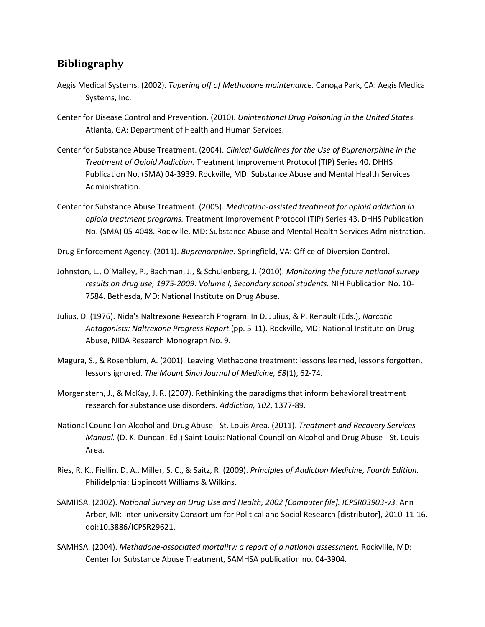#### **Bibliography**

- Aegis Medical Systems. (2002). *Tapering off of Methadone maintenance.* Canoga Park, CA: Aegis Medical Systems, Inc.
- Center for Disease Control and Prevention. (2010). *Unintentional Drug Poisoning in the United States.* Atlanta, GA: Department of Health and Human Services.
- Center for Substance Abuse Treatment. (2004). *Clinical Guidelines for the Use of Buprenorphine in the Treatment of Opioid Addiction.* Treatment Improvement Protocol (TIP) Series 40. DHHS Publication No. (SMA) 04‐3939. Rockville, MD: Substance Abuse and Mental Health Services Administration.
- Center for Substance Abuse Treatment. (2005). *Medication-assisted treatment for opioid addiction in opioid treatment programs.* Treatment Improvement Protocol (TIP) Series 43. DHHS Publication No. (SMA) 05-4048. Rockville, MD: Substance Abuse and Mental Health Services Administration.

Drug Enforcement Agency. (2011). *Buprenorphine.* Springfield, VA: Office of Diversion Control.

- Johnston, L., O'Malley, P., Bachman, J., & Schulenberg, J. (2010). *Monitoring the future national survey results on drug use, 1975-2009: Volume I, Secondary school students.* NIH Publication No. 10- 7584. Bethesda, MD: National Institute on Drug Abuse.
- Julius, D. (1976). Nida's Naltrexone Research Program. In D. Julius, & P. Renault (Eds.), *Narcotic Antagonists: Naltrexone Progress Report* (pp. 5-11). Rockville, MD: National Institute on Drug Abuse, NIDA Research Monograph No. 9.
- Magura, S., & Rosenblum, A. (2001). Leaving Methadone treatment: lessons learned, lessons forgotten, lessons ignored. *The Mount Sinai Journal of Medicine, 68*(1), 62-74.
- Morgenstern, J., & McKay, J. R. (2007). Rethinking the paradigms that inform behavioral treatment research for substance use disorders. *Addiction, 102*, 1377-89.
- National Council on Alcohol and Drug Abuse St. Louis Area. (2011). *Treatment and Recovery Services Manual.* (D. K. Duncan, Ed.) Saint Louis: National Council on Alcohol and Drug Abuse - St. Louis Area.
- Ries, R. K., Fiellin, D. A., Miller, S. C., & Saitz, R. (2009). *Principles of Addiction Medicine, Fourth Edition.* Philidelphia: Lippincott Williams & Wilkins.
- SAMHSA. (2002). *National Survey on Drug Use and Health, 2002 [Computer file]. ICPSR03903-v3.* Ann Arbor, MI: Inter-university Consortium for Political and Social Research [distributor], 2010-11-16. doi:10.3886/ICPSR29621.
- SAMHSA. (2004). *Methadone-associated mortality: a report of a national assessment.* Rockville, MD: Center for Substance Abuse Treatment, SAMHSA publication no. 04-3904.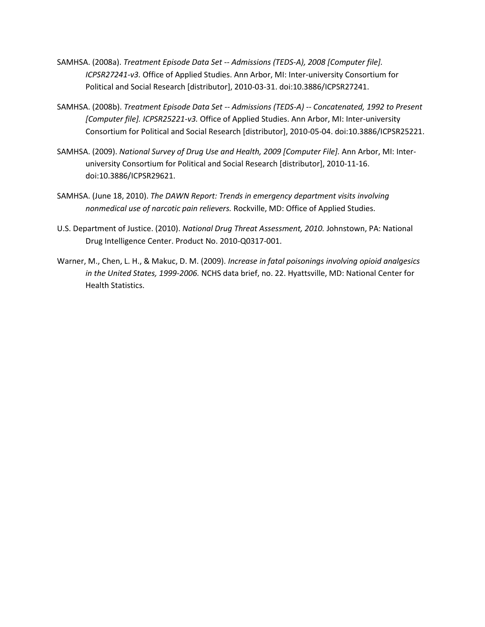- SAMHSA. (2008a). *Treatment Episode Data Set -- Admissions (TEDS-A), 2008 [Computer file]. ICPSR27241-v3.* Office of Applied Studies. Ann Arbor, MI: Inter-university Consortium for Political and Social Research [distributor], 2010-03-31. doi:10.3886/ICPSR27241.
- SAMHSA. (2008b). *Treatment Episode Data Set -- Admissions (TEDS-A) -- Concatenated, 1992 to Present [Computer file]. ICPSR25221-v3.* Office of Applied Studies. Ann Arbor, MI: Inter-university Consortium for Political and Social Research [distributor], 2010-05-04. doi:10.3886/ICPSR25221.
- SAMHSA. (2009). *National Survey of Drug Use and Health, 2009 [Computer File].* Ann Arbor, MI: Interuniversity Consortium for Political and Social Research [distributor], 2010-11-16. doi:10.3886/ICPSR29621.
- SAMHSA. (June 18, 2010). *The DAWN Report: Trends in emergency department visits involving nonmedical use of narcotic pain relievers.* Rockville, MD: Office of Applied Studies.
- U.S. Department of Justice. (2010). *National Drug Threat Assessment, 2010.* Johnstown, PA: National Drug Intelligence Center. Product No. 2010-Q0317-001.
- Warner, M., Chen, L. H., & Makuc, D. M. (2009). *Increase in fatal poisonings involving opioid analgesics in the United States, 1999-2006.* NCHS data brief, no. 22. Hyattsville, MD: National Center for Health Statistics.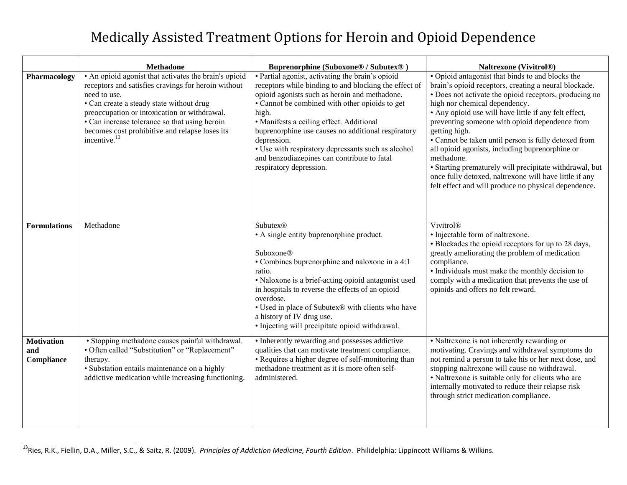# Medically Assisted Treatment Options for Heroin and Opioid Dependence

|                                        | <b>Methadone</b>                                                                                                                                                                                                                                                                                                                                        | <b>Buprenorphine (Suboxone® / Subutex®)</b>                                                                                                                                                                                                                                                                                                                                                                                                                            | <b>Naltrexone (Vivitrol®)</b>                                                                                                                                                                                                                                                                                                                                                                                                                                                                                                                                                                                                          |
|----------------------------------------|---------------------------------------------------------------------------------------------------------------------------------------------------------------------------------------------------------------------------------------------------------------------------------------------------------------------------------------------------------|------------------------------------------------------------------------------------------------------------------------------------------------------------------------------------------------------------------------------------------------------------------------------------------------------------------------------------------------------------------------------------------------------------------------------------------------------------------------|----------------------------------------------------------------------------------------------------------------------------------------------------------------------------------------------------------------------------------------------------------------------------------------------------------------------------------------------------------------------------------------------------------------------------------------------------------------------------------------------------------------------------------------------------------------------------------------------------------------------------------------|
| Pharmacology                           | • An opioid agonist that activates the brain's opioid<br>receptors and satisfies cravings for heroin without<br>need to use.<br>• Can create a steady state without drug<br>preoccupation or intoxication or withdrawal.<br>• Can increase tolerance so that using heroin<br>becomes cost prohibitive and relapse loses its<br>incentive. <sup>13</sup> | • Partial agonist, activating the brain's opioid<br>receptors while binding to and blocking the effect of<br>opioid agonists such as heroin and methadone.<br>• Cannot be combined with other opioids to get<br>high.<br>• Manifests a ceiling effect. Additional<br>buprenorphine use causes no additional respiratory<br>depression.<br>• Use with respiratory depressants such as alcohol<br>and benzodiazepines can contribute to fatal<br>respiratory depression. | • Opioid antagonist that binds to and blocks the<br>brain's opioid receptors, creating a neural blockade.<br>· Does not activate the opioid receptors, producing no<br>high nor chemical dependency.<br>• Any opioid use will have little if any felt effect,<br>preventing someone with opioid dependence from<br>getting high.<br>· Cannot be taken until person is fully detoxed from<br>all opioid agonists, including buprenorphine or<br>methadone.<br>• Starting prematurely will precipitate withdrawal, but<br>once fully detoxed, naltrexone will have little if any<br>felt effect and will produce no physical dependence. |
| <b>Formulations</b>                    | Methadone                                                                                                                                                                                                                                                                                                                                               | <b>Subutex®</b><br>• A single entity buprenorphine product.<br>Suboxone®<br>• Combines buprenorphine and naloxone in a 4:1<br>ratio.<br>• Naloxone is a brief-acting opioid antagonist used<br>in hospitals to reverse the effects of an opioid<br>overdose.<br>• Used in place of Subutex® with clients who have<br>a history of IV drug use.<br>• Injecting will precipitate opioid withdrawal.                                                                      | Vivitrol®<br>· Injectable form of naltrexone.<br>• Blockades the opioid receptors for up to 28 days,<br>greatly ameliorating the problem of medication<br>compliance.<br>• Individuals must make the monthly decision to<br>comply with a medication that prevents the use of<br>opioids and offers no felt reward.                                                                                                                                                                                                                                                                                                                    |
| <b>Motivation</b><br>and<br>Compliance | • Stopping methadone causes painful withdrawal.<br>• Often called "Substitution" or "Replacement"<br>therapy.<br>· Substation entails maintenance on a highly<br>addictive medication while increasing functioning.                                                                                                                                     | • Inherently rewarding and possesses addictive<br>qualities that can motivate treatment compliance.<br>• Requires a higher degree of self-monitoring than<br>methadone treatment as it is more often self-<br>administered.                                                                                                                                                                                                                                            | • Naltrexone is not inherently rewarding or<br>motivating. Cravings and withdrawal symptoms do<br>not remind a person to take his or her next dose, and<br>stopping naltrexone will cause no withdrawal.<br>• Naltrexone is suitable only for clients who are<br>internally motivated to reduce their relapse risk<br>through strict medication compliance.                                                                                                                                                                                                                                                                            |

 $\overline{1}$ <sup>13</sup>Ries, R.K., Fiellin, D.A., Miller, S.C., & Saitz, R. (2009). *Principles of Addiction Medicine, Fourth Edition*. Philidelphia: Lippincott Williams & Wilkins.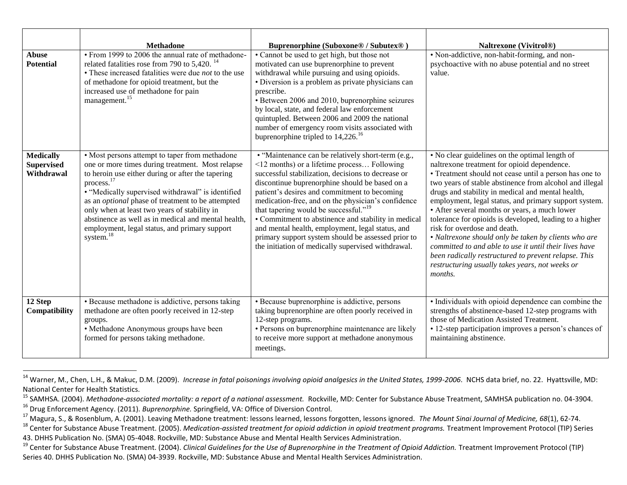|                                                     | <b>Methadone</b>                                                                                                                                                                                                                                                                                                                                                                                                                                                           | <b>Buprenorphine (Suboxone® / Subutex®)</b>                                                                                                                                                                                                                                                                                                                                                                                                                                                                                                                                                 | <b>Naltrexone (Vivitrol®)</b>                                                                                                                                                                                                                                                                                                                                                                                                                                                                                                                                                                                                                                                                                        |
|-----------------------------------------------------|----------------------------------------------------------------------------------------------------------------------------------------------------------------------------------------------------------------------------------------------------------------------------------------------------------------------------------------------------------------------------------------------------------------------------------------------------------------------------|---------------------------------------------------------------------------------------------------------------------------------------------------------------------------------------------------------------------------------------------------------------------------------------------------------------------------------------------------------------------------------------------------------------------------------------------------------------------------------------------------------------------------------------------------------------------------------------------|----------------------------------------------------------------------------------------------------------------------------------------------------------------------------------------------------------------------------------------------------------------------------------------------------------------------------------------------------------------------------------------------------------------------------------------------------------------------------------------------------------------------------------------------------------------------------------------------------------------------------------------------------------------------------------------------------------------------|
| <b>Abuse</b><br><b>Potential</b>                    | • From 1999 to 2006 the annual rate of methadone-<br>related fatalities rose from 790 to 5,420. <sup>14</sup><br>• These increased fatalities were due <i>not</i> to the use<br>of methadone for opioid treatment, but the<br>increased use of methadone for pain<br>management. <sup>15</sup>                                                                                                                                                                             | • Cannot be used to get high, but those not<br>motivated can use buprenorphine to prevent<br>withdrawal while pursuing and using opioids.<br>• Diversion is a problem as private physicians can<br>prescribe.<br>• Between 2006 and 2010, buprenorphine seizures<br>by local, state, and federal law enforcement<br>quintupled. Between 2006 and 2009 the national<br>number of emergency room visits associated with<br>buprenorphine tripled to $14,226$ . <sup>16</sup>                                                                                                                  | • Non-addictive, non-habit-forming, and non-<br>psychoactive with no abuse potential and no street<br>value.                                                                                                                                                                                                                                                                                                                                                                                                                                                                                                                                                                                                         |
| <b>Medically</b><br><b>Supervised</b><br>Withdrawal | • Most persons attempt to taper from methadone<br>one or more times during treatment. Most relapse<br>to heroin use either during or after the tapering<br>process. <sup>17</sup><br>• "Medically supervised withdrawal" is identified<br>as an <i>optional</i> phase of treatment to be attempted<br>only when at least two years of stability in<br>abstinence as well as in medical and mental health,<br>employment, legal status, and primary support<br>system. $18$ | • "Maintenance can be relatively short-term (e.g.,<br><12 months) or a lifetime process Following<br>successful stabilization, decisions to decrease or<br>discontinue buprenorphine should be based on a<br>patient's desires and commitment to becoming<br>medication-free, and on the physician's confidence<br>that tapering would be successful." <sup>19</sup><br>• Commitment to abstinence and stability in medical<br>and mental health, employment, legal status, and<br>primary support system should be assessed prior to<br>the initiation of medically supervised withdrawal. | • No clear guidelines on the optimal length of<br>naltrexone treatment for opioid dependence.<br>• Treatment should not cease until a person has one to<br>two years of stable abstinence from alcohol and illegal<br>drugs and stability in medical and mental health,<br>employment, legal status, and primary support system.<br>• After several months or years, a much lower<br>tolerance for opioids is developed, leading to a higher<br>risk for overdose and death.<br>• Naltrexone should only be taken by clients who are<br>committed to and able to use it until their lives have<br>been radically restructured to prevent relapse. This<br>restructuring usually takes years, not weeks or<br>months. |
| 12 Step<br>Compatibility                            | • Because methadone is addictive, persons taking<br>methadone are often poorly received in 12-step<br>groups.<br>• Methadone Anonymous groups have been<br>formed for persons taking methadone.                                                                                                                                                                                                                                                                            | • Because buprenorphine is addictive, persons<br>taking buprenorphine are often poorly received in<br>12-step programs.<br>· Persons on buprenorphine maintenance are likely<br>to receive more support at methadone anonymous<br>meetings.                                                                                                                                                                                                                                                                                                                                                 | · Individuals with opioid dependence can combine the<br>strengths of abstinence-based 12-step programs with<br>those of Medication Assisted Treatment.<br>• 12-step participation improves a person's chances of<br>maintaining abstinence.                                                                                                                                                                                                                                                                                                                                                                                                                                                                          |

<sup>&</sup>lt;sup>14</sup> Warner, M., Chen, L.H., & Makuc, D.M. (2009). *Increase in fatal poisonings involving opioid analgesics in the United States, 1999-2006*. NCHS data brief, no. 22. Hyattsville, MD: National Center for Health Statistics.

 $\overline{a}$ 

<sup>15</sup> SAMHSA. (2004). *Methadone-associated mortality: a report of a national assessment.* Rockville, MD: Center for Substance Abuse Treatment, SAMHSA publication no. 04-3904. <sup>16</sup> Drug Enforcement Agency. (2011). *Buprenorphine.* Springfield, VA: Office of Diversion Control.

<sup>17</sup> Magura, S., & Rosenblum, A. (2001). Leaving Methadone treatment: lessons learned, lessons forgotten, lessons ignored. *The Mount Sinai Journal of Medicine, 68*(1), 62-74.

<sup>&</sup>lt;sup>18</sup> Center for Substance Abuse Treatment. (2005). *Medication-assisted treatment for opioid addiction in opioid treatment programs.* Treatment Improvement Protocol (TIP) Series 43. DHHS Publication No. (SMA) 05-4048. Rockville, MD: Substance Abuse and Mental Health Services Administration.

<sup>&</sup>lt;sup>19</sup> Center for Substance Abuse Treatment. (2004). *Clinical Guidelines for the Use of Buprenorphine in the Treatment of Opioid Addiction*. Treatment Improvement Protocol (TIP) Series 40. DHHS Publication No. (SMA) 04‐3939. Rockville, MD: Substance Abuse and Mental Health Services Administration.